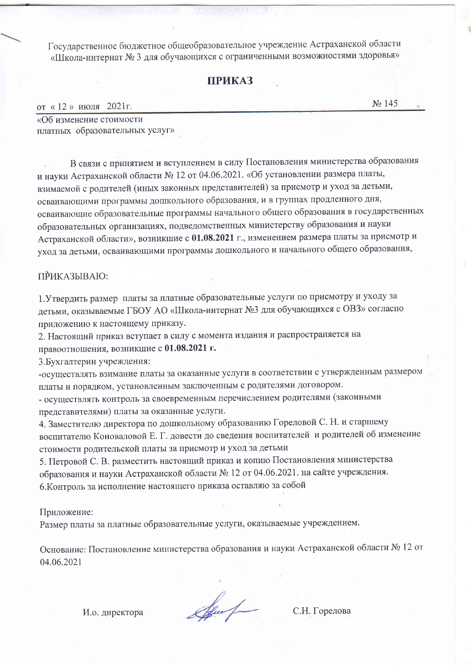Государственное бюджетное общеобразовательное учреждение Астраханской области «Школа-интернат № 3 для обучающихся с ограниченными возможностями здоровья»

# **ПРИКАЗ**

от «12» июля 2021г.

 $N_2$  145

«Об изменение стоимости платных образовательных услуг»

В связи с принятием и вступлением в силу Постановления министерства образования и науки Астраханской области № 12 от 04.06.2021. «Об установлении размера платы, взимаемой с родителей (иных законных представителей) за присмотр и уход за детьми, осваивающими программы дошкольного образования, и в группах продленного дня, осваивающие образовательные программы начального общего образования в государственных образовательных организациях, подведомственных министерству образования и науки Астраханской области», возникшие с 01.08.2021 г., изменением размера платы за присмотр и уход за детьми, осваивающими программы дошкольного и начального общего образования,

### **ПРИКАЗЫВАЮ:**

1. Утвердить размер платы за платные образовательные услуги по присмотру и уходу за детьми, оказываемые ГБОУ АО «Школа-интернат №3 для обучающихся с ОВЗ» согласно приложению к настоящему приказу.

2. Настоящий приказ вступает в силу с момента издания и распространяется на правоотношения, возникшие с 01.08.2021 г.

3. Бухгалтерии учреждения:

-осуществлять взимание платы за оказанные услуги в соответствии с утвержденным размером платы и порядком, установленным заключенным с родителями договором.

- осуществлять контроль за своевременным перечислением родителями (законными представителями) платы за оказанные услуги.

4. Заместителю директора по дошкольному образованию Гореловой С. Н. и старшему воспитателю Коноваловой Е. Г. довести до сведения воспитателей и родителей об изменение стоимости родительской платы за присмотр и уход за детьми

5. Петровой С. В. разместить настоящий приказ и копию Постановления министерства образования и науки Астраханской области № 12 от 04.06.2021. на сайте учреждения. 6. Контроль за исполнение настоящего приказа оставляю за собой

### Приложение:

Размер платы за платные образовательные услуги, оказываемые учреждением.

Основание: Постановление министерства образования и науки Астраханской области № 12 от 04.06.2021

И.о. директора

Sport

С.Н. Горелова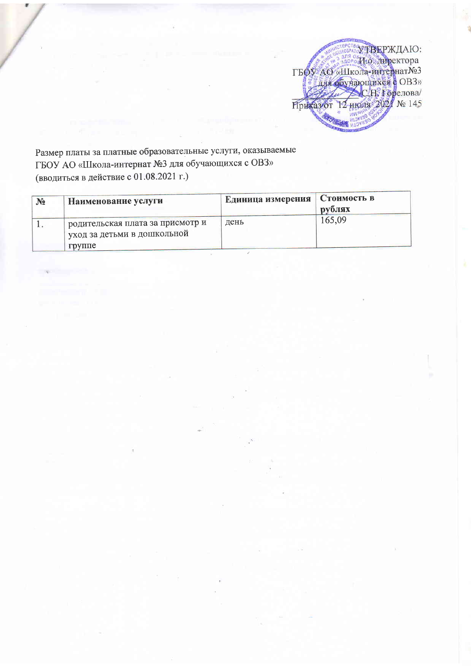УТВЕРЖДАЮ: TBOY AO «HIkona-mirepharNe3

Размер платы за платные образовательные услуги, оказываемые ГБОУ АО «Школа-интернат №3 для обучающихся с ОВЗ» (вводиться в действие с 01.08.2021 г.)

| N <sub>2</sub> | Наименование услуги                                              | Единица измерения | Стоимость в<br>рублях |
|----------------|------------------------------------------------------------------|-------------------|-----------------------|
|                | родительская плата за присмотр и<br>чуход за детьми в дошкольной | день              | 165,09                |
|                | группе                                                           |                   |                       |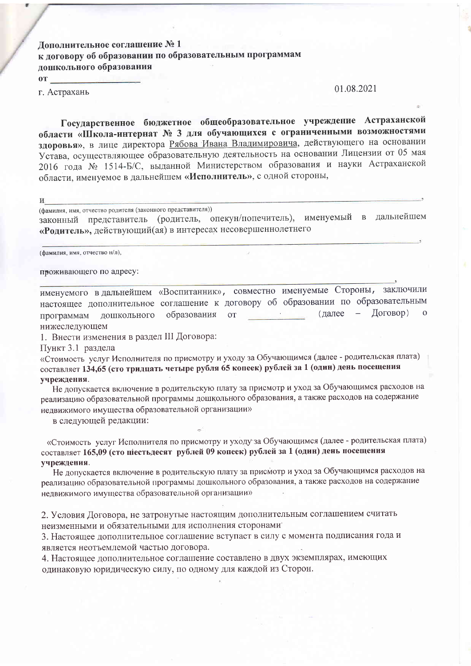Дополнительное соглашение № 1 к договору об образовании по образовательным программам лошкольного образования

 $\mathbf{O}(\mathbf{T})$ 

г. Астрахань

#### 01.08.2021

Государственное бюджетное общеобразовательное учреждение Астраханской области «Школа-интернат № 3 для обучающихся с ограниченными возможностями здоровья», в лице директора Рябова Ивана Владимировича, действующего на основании Устава, осуществляющее образовательную деятельность на основании Лицензии от 05 мая 2016 года № 1514-Б/С, выданной Министерством образования и науки Астраханской области, именуемое в дальнейшем «Исполнитель», с одной стороны,

И

(фамилия, имя, отчество родителя (законного представителя))

законный представитель (родитель, опекун/попечитель), именуемый в дальнейшем «Родитель», действующий(ая) в интересах несовершеннолетнего

(фамилия, имя, отчество н/л),

проживающего по адресу:

именуемого в дальнейшем «Воспитанник», совместно именуемые Стороны, заключили настоящее дополнительное соглашение к договору об образовании по образовательным  $(Aa)$ лее — Договор) образования от and and программам дошкольного нижеследующем

1. Внести изменения в раздел III Договора:

Пункт 3.1 раздела

«Стоимость услуг Исполнителя по присмотру и уходу за Обучающимся (далее - родительская плата) составляет 134,65 (сто тридцать четыре рубля 65 копеек) рублей за 1 (один) день посещения учреждения.

Не допускается включение в родительскую плату за присмотр и уход за Обучающимся расходов на реализацию образовательной программы дошкольного образования, а также расходов на содержание недвижимого имущества образовательной организации»

в следующей редакции:

«Стоимость услуг Исполнителя по присмотру и уходу за Обучающимся (далее - родительская плата) составляет 165,09 (сто піестьдесят рублей 09 копеек) рублей за 1 (один) день посещения учреждения.

Не допускается включение в родительскую плату за присмотр и уход за Обучающимся расходов на реализацию образовательной программы дошкольного образования, а также расходов на содержание недвижимого имущества образовательной организации»

2. Условия Договора, не затронутые настоящим дополнительным соглашением считать неизменными и обязательными для исполнения сторонами

3. Настоящее дополнительное соглашение вступает в силу с момента подписания года и является неотъемлемой частью договора.

4. Настоящее дополнительное соглашение составлено в двух экземплярах, имеющих одинаковую юридическую силу, по одному для каждой из Сторон.